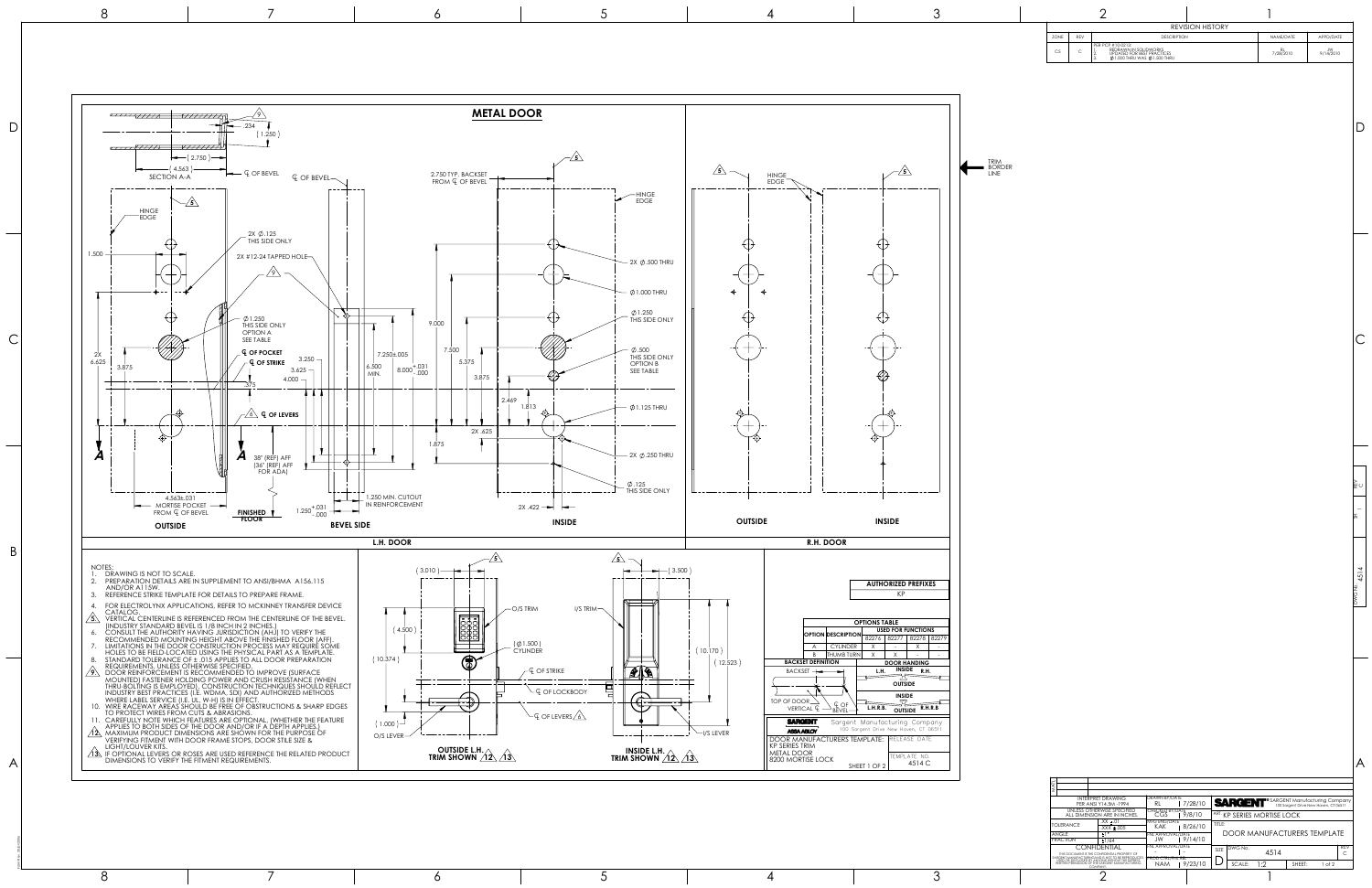